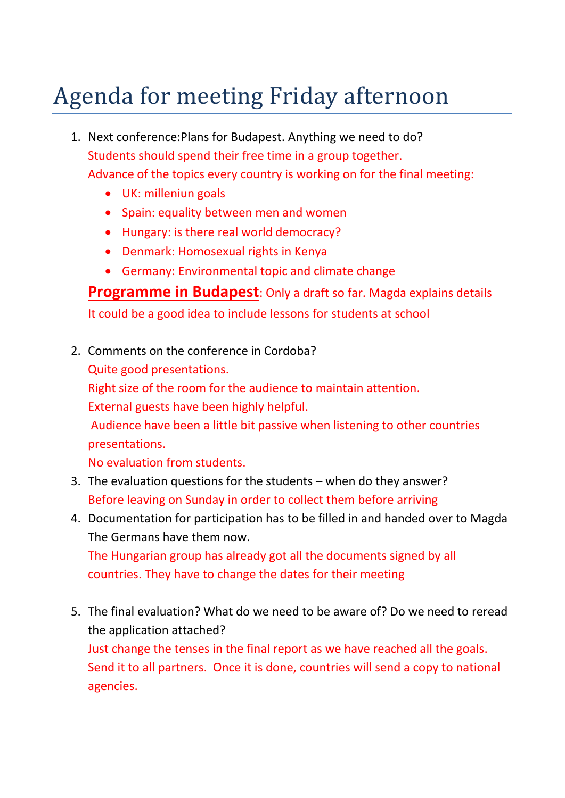## Agenda for meeting Friday afternoon

- 1. Next conference:Plans for Budapest. Anything we need to do? Students should spend their free time in a group together. Advance of the topics every country is working on for the final meeting:
	- UK: milleniun goals
	- Spain: equality between men and women
	- Hungary: is there real world democracy?
	- Denmark: Homosexual rights in Kenya
	- Germany: Environmental topic and climate change

**Programme in Budapest**: Only a draft so far. Magda explains details It could be a good idea to include lessons for students at school

2. Comments on the conference in Cordoba?

Quite good presentations.

Right size of the room for the audience to maintain attention.

External guests have been highly helpful.

Audience have been a little bit passive when listening to other countries presentations.

No evaluation from students.

- 3. The evaluation questions for the students when do they answer? Before leaving on Sunday in order to collect them before arriving
- 4. Documentation for participation has to be filled in and handed over to Magda The Germans have them now.

The Hungarian group has already got all the documents signed by all countries. They have to change the dates for their meeting

5. The final evaluation? What do we need to be aware of? Do we need to reread the application attached? Just change the tenses in the final report as we have reached all the goals. Send it to all partners. Once it is done, countries will send a copy to national agencies.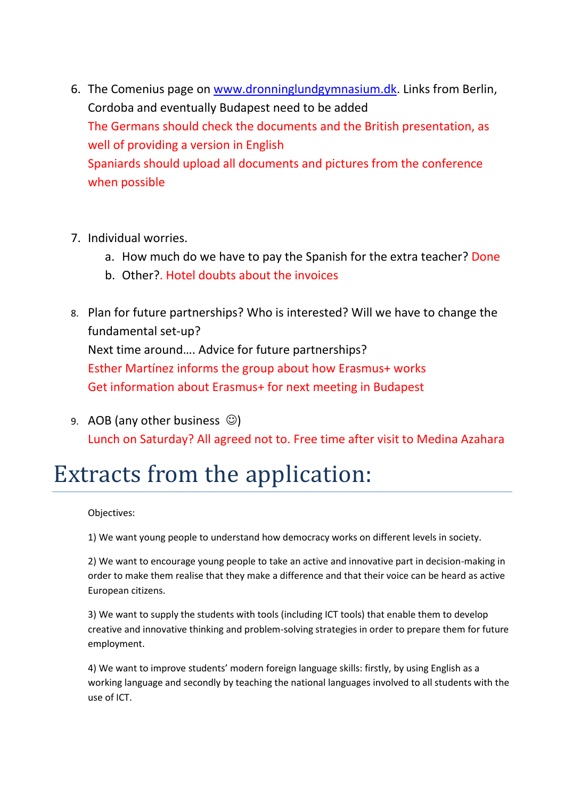- 6. The Comenius page on [www.dronninglundgymnasium.dk.](http://www.dronninglundgymnasium.dk/) Links from Berlin, Cordoba and eventually Budapest need to be added The Germans should check the documents and the British presentation, as well of providing a version in English Spaniards should upload all documents and pictures from the conference when possible
- 7. Individual worries.
	- a. How much do we have to pay the Spanish for the extra teacher? Done
	- b. Other?. Hotel doubts about the invoices
- 8. Plan for future partnerships? Who is interested? Will we have to change the fundamental set-up? Next time around…. Advice for future partnerships? Esther Martínez informs the group about how Erasmus+ works Get information about Erasmus+ for next meeting in Budapest
- 9. AOB (any other business  $\circledcirc$ ) Lunch on Saturday? All agreed not to. Free time after visit to Medina Azahara

## Extracts from the application:

Objectives:

1) We want young people to understand how democracy works on different levels in society.

2) We want to encourage young people to take an active and innovative part in decision-making in order to make them realise that they make a difference and that their voice can be heard as active European citizens.

3) We want to supply the students with tools (including ICT tools) that enable them to develop creative and innovative thinking and problem-solving strategies in order to prepare them for future employment.

4) We want to improve students' modern foreign language skills: firstly, by using English as a working language and secondly by teaching the national languages involved to all students with the use of ICT.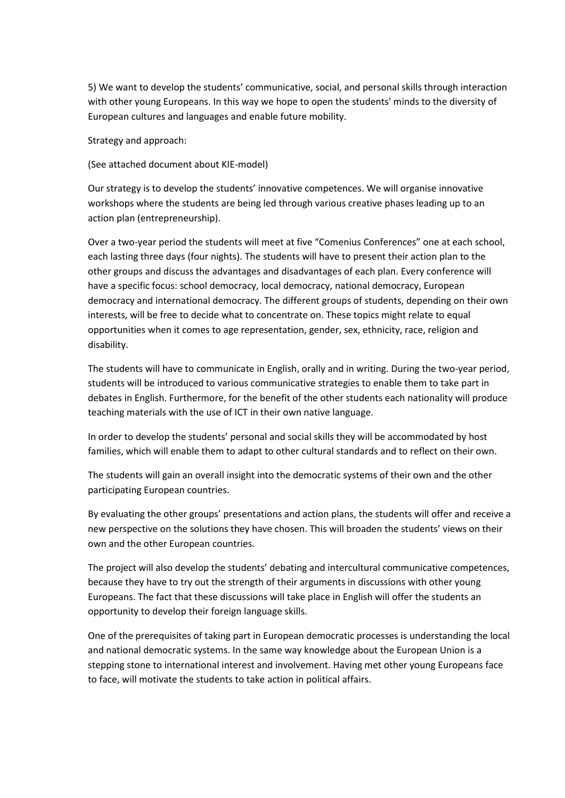5) We want to develop the students' communicative, social, and personal skills through interaction with other young Europeans. In this way we hope to open the students' minds to the diversity of European cultures and languages and enable future mobility.

Strategy and approach:

(See attached document about KIE-model)

Our strategy is to develop the students' innovative competences. We will organise innovative workshops where the students are being led through various creative phases leading up to an action plan (entrepreneurship).

Over a two-year period the students will meet at five "Comenius Conferences" one at each school, each lasting three days (four nights). The students will have to present their action plan to the other groups and discuss the advantages and disadvantages of each plan. Every conference will have a specific focus: school democracy, local democracy, national democracy, European democracy and international democracy. The different groups of students, depending on their own interests, will be free to decide what to concentrate on. These topics might relate to equal opportunities when it comes to age representation, gender, sex, ethnicity, race, religion and disability.

The students will have to communicate in English, orally and in writing. During the two-year period, students will be introduced to various communicative strategies to enable them to take part in debates in English. Furthermore, for the benefit of the other students each nationality will produce teaching materials with the use of ICT in their own native language.

In order to develop the students' personal and social skills they will be accommodated by host families, which will enable them to adapt to other cultural standards and to reflect on their own.

The students will gain an overall insight into the democratic systems of their own and the other participating European countries.

By evaluating the other groups' presentations and action plans, the students will offer and receive a new perspective on the solutions they have chosen. This will broaden the students' views on their own and the other European countries.

The project will also develop the students' debating and intercultural communicative competences, because they have to try out the strength of their arguments in discussions with other young Europeans. The fact that these discussions will take place in English will offer the students an opportunity to develop their foreign language skills.

One of the prerequisites of taking part in European democratic processes is understanding the local and national democratic systems. In the same way knowledge about the European Union is a stepping stone to international interest and involvement. Having met other young Europeans face to face, will motivate the students to take action in political affairs.